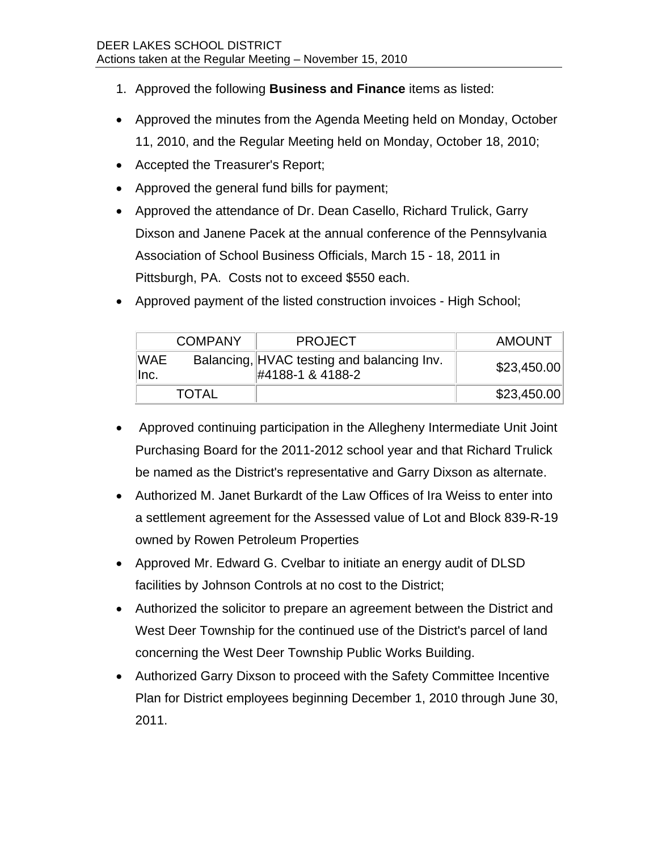- 1. Approved the following **Business and Finance** items as listed:
- Approved the minutes from the Agenda Meeting held on Monday, October 11, 2010, and the Regular Meeting held on Monday, October 18, 2010;
- Accepted the Treasurer's Report;
- Approved the general fund bills for payment;
- Approved the attendance of Dr. Dean Casello, Richard Trulick, Garry Dixson and Janene Pacek at the annual conference of the Pennsylvania Association of School Business Officials, March 15 - 18, 2011 in Pittsburgh, PA. Costs not to exceed \$550 each.

| • Approved payment of the listed construction invoices - High School; |  |
|-----------------------------------------------------------------------|--|
|                                                                       |  |

|                    | <b>COMPANY</b> | <b>PROJECT</b>                                                 | <b>AMOUNT</b> |
|--------------------|----------------|----------------------------------------------------------------|---------------|
| <b>WAE</b><br>lnc. |                | Balancing, HVAC testing and balancing Inv.<br>#4188-1 & 4188-2 | \$23,450.00   |
|                    | <b>TOTAL</b>   |                                                                | \$23,450.00   |

- Approved continuing participation in the Allegheny Intermediate Unit Joint Purchasing Board for the 2011-2012 school year and that Richard Trulick be named as the District's representative and Garry Dixson as alternate.
- Authorized M. Janet Burkardt of the Law Offices of Ira Weiss to enter into a settlement agreement for the Assessed value of Lot and Block 839-R-19 owned by Rowen Petroleum Properties
- Approved Mr. Edward G. Cvelbar to initiate an energy audit of DLSD facilities by Johnson Controls at no cost to the District;
- Authorized the solicitor to prepare an agreement between the District and West Deer Township for the continued use of the District's parcel of land concerning the West Deer Township Public Works Building.
- Authorized Garry Dixson to proceed with the Safety Committee Incentive Plan for District employees beginning December 1, 2010 through June 30, 2011.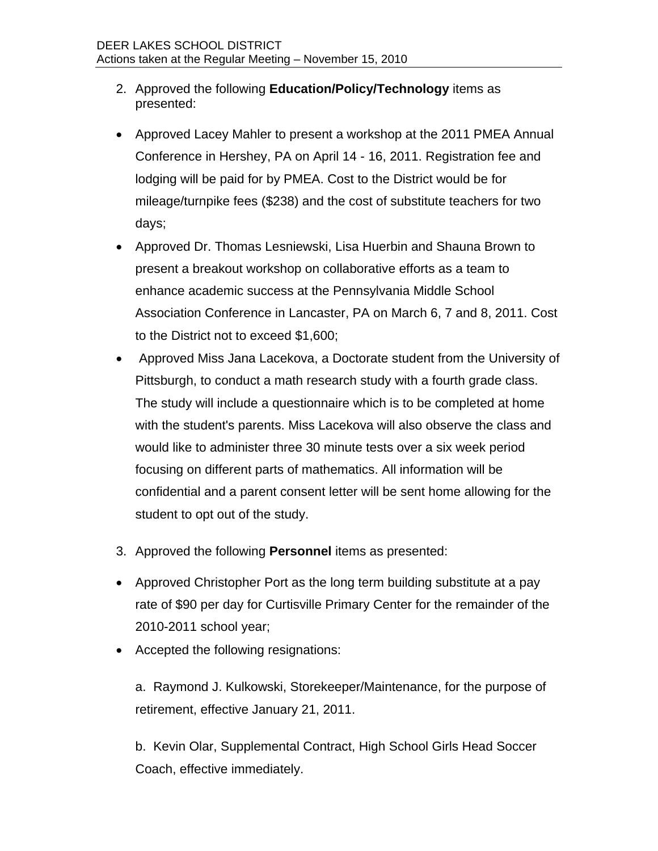- 2. Approved the following **Education/Policy/Technology** items as presented:
- Approved Lacey Mahler to present a workshop at the 2011 PMEA Annual Conference in Hershey, PA on April 14 - 16, 2011. Registration fee and lodging will be paid for by PMEA. Cost to the District would be for mileage/turnpike fees (\$238) and the cost of substitute teachers for two days;
- Approved Dr. Thomas Lesniewski, Lisa Huerbin and Shauna Brown to present a breakout workshop on collaborative efforts as a team to enhance academic success at the Pennsylvania Middle School Association Conference in Lancaster, PA on March 6, 7 and 8, 2011. Cost to the District not to exceed \$1,600;
- Approved Miss Jana Lacekova, a Doctorate student from the University of Pittsburgh, to conduct a math research study with a fourth grade class. The study will include a questionnaire which is to be completed at home with the student's parents. Miss Lacekova will also observe the class and would like to administer three 30 minute tests over a six week period focusing on different parts of mathematics. All information will be confidential and a parent consent letter will be sent home allowing for the student to opt out of the study.
- 3. Approved the following **Personnel** items as presented:
- Approved Christopher Port as the long term building substitute at a pay rate of \$90 per day for Curtisville Primary Center for the remainder of the 2010-2011 school year;
- Accepted the following resignations:

a. Raymond J. Kulkowski, Storekeeper/Maintenance, for the purpose of retirement, effective January 21, 2011.

b. Kevin Olar, Supplemental Contract, High School Girls Head Soccer Coach, effective immediately.